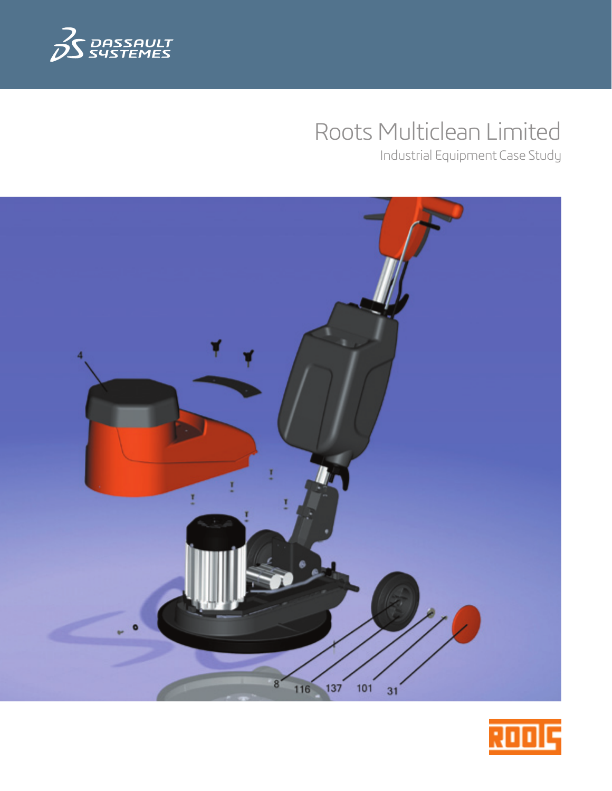

# Roots Multiclean Limited

Industrial Equipment Case Study



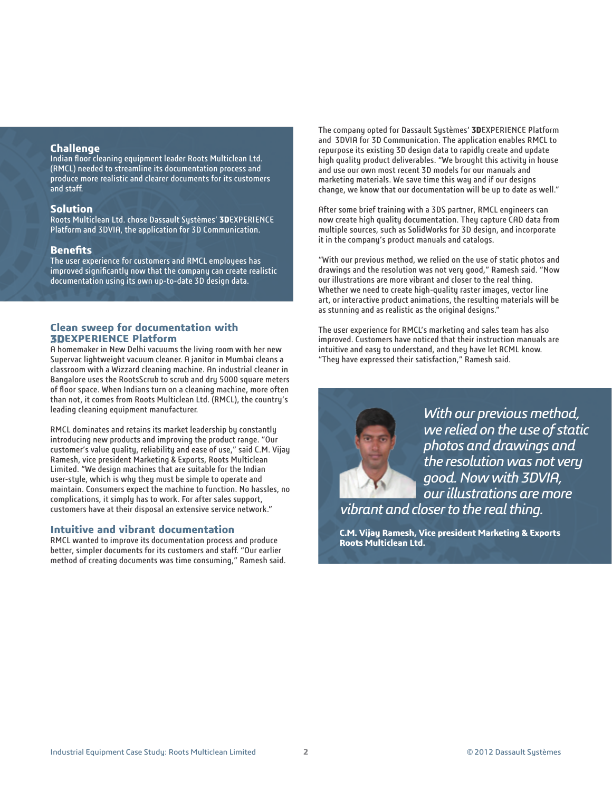# **Challenge**

Indian floor cleaning equipment leader Roots Multiclean Ltd. (RMCL) needed to streamline its documentation process and produce more realistic and clearer documents for its customers and staff.

## **Solution**

Roots Multiclean Ltd. chose Dassault Systèmes' **3D**EXPERIENCE Platform and 3DVIA, the application for 3D Communication.

## **Benefits**

The user experience for customers and RMCL employees has improved significantly now that the company can create realistic documentation using its own up-to-date 3D design data.

# **Clean sweep for documentation with 3DEXPERIENCE Platform**

A homemaker in New Delhi vacuums the living room with her new Supervac lightweight vacuum cleaner. A janitor in Mumbai cleans a classroom with a Wizzard cleaning machine. An industrial cleaner in Bangalore uses the RootsScrub to scrub and dry 5000 square meters of floor space. When Indians turn on a cleaning machine, more often than not, it comes from Roots Multiclean Ltd. (RMCL), the country's leading cleaning equipment manufacturer.

RMCL dominates and retains its market leadership by constantly introducing new products and improving the product range. "Our customer's value quality, reliability and ease of use," said C.M. Vijay Ramesh, vice president Marketing & Exports, Roots Multiclean Limited. "We design machines that are suitable for the Indian user-style, which is why they must be simple to operate and maintain. Consumers expect the machine to function. No hassles, no complications, it simply has to work. For after sales support, customers have at their disposal an extensive service network."

#### **Intuitive and vibrant documentation**

RMCL wanted to improve its documentation process and produce better, simpler documents for its customers and staff. "Our earlier method of creating documents was time consuming," Ramesh said. The company opted for Dassault Systèmes' **3D**EXPERIENCE Platform and 3DVIA for 3D Communication. The application enables RMCL to repurpose its existing 3D design data to rapidly create and update high quality product deliverables. "We brought this activity in house and use our own most recent 3D models for our manuals and marketing materials. We save time this way and if our designs change, we know that our documentation will be up to date as well."

After some brief training with a 3DS partner, RMCL engineers can now create high quality documentation. They capture CAD data from multiple sources, such as SolidWorks for 3D design, and incorporate it in the company's product manuals and catalogs.

"With our previous method, we relied on the use of static photos and drawings and the resolution was not very good," Ramesh said. "Now our illustrations are more vibrant and closer to the real thing. Whether we need to create high-quality raster images, vector line art, or interactive product animations, the resulting materials will be as stunning and as realistic as the original designs."

The user experience for RMCL's marketing and sales team has also improved. Customers have noticed that their instruction manuals are intuitive and easy to understand, and they have let RCML know. "They have expressed their satisfaction," Ramesh said.



*With our previous method, we relied on the use of static photos and drawings and the resolution was not very good. Now with 3DVIA, our illustrations are more vibrant and closer to the real thing.*

**C.M. Vijay Ramesh, Vice president Marketing & Exports Roots Multiclean Ltd.**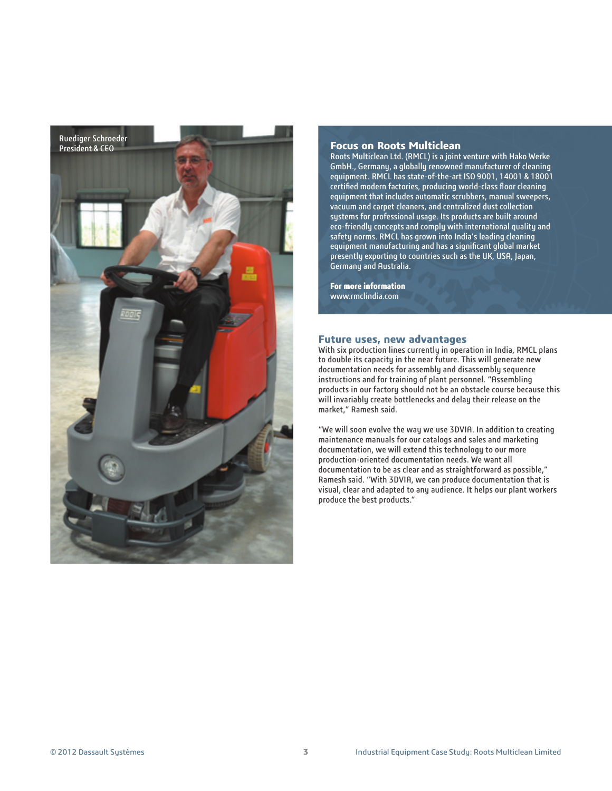

#### **Focus on Roots Multiclean**

Roots Multiclean Ltd. (RMCL) is a joint venture with Hako Werke GmbH., Germany, a globally renowned manufacturer of cleaning equipment. RMCL has state-of-the-art ISO 9001, 14001 & 18001 certified modern factories, producing world-class floor cleaning equipment that includes automatic scrubbers, manual sweepers, vacuum and carpet cleaners, and centralized dust collection systems for professional usage. Its products are built around eco-friendly concepts and comply with international quality and safety norms. RMCL has grown into India's leading cleaning equipment manufacturing and has a significant global market presently exporting to countries such as the UK, USA, Japan, Germany and Australia.

**For more information** www.rmclindia.com

#### **Future uses, new advantages**

With six production lines currently in operation in India, RMCL plans to double its capacity in the near future. This will generate new documentation needs for assembly and disassembly sequence instructions and for training of plant personnel. "Assembling products in our factory should not be an obstacle course because this will invariably create bottlenecks and delay their release on the market," Ramesh said.

"We will soon evolve the way we use 3DVIA. In addition to creating maintenance manuals for our catalogs and sales and marketing documentation, we will extend this technology to our more production-oriented documentation needs. We want all documentation to be as clear and as straightforward as possible," Ramesh said. "With 3DVIA, we can produce documentation that is visual, clear and adapted to any audience. It helps our plant workers produce the best products."